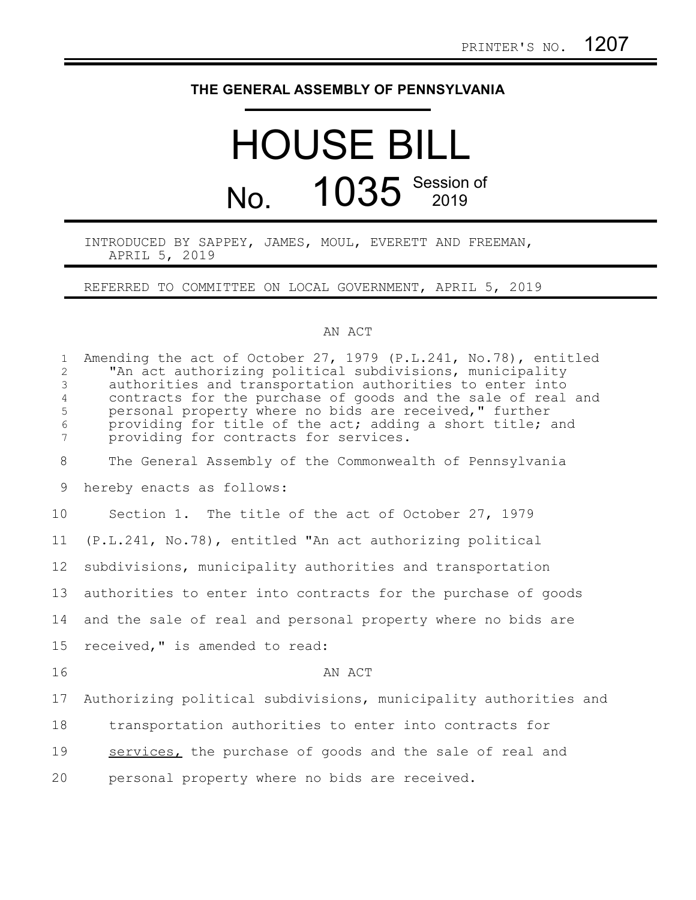# **THE GENERAL ASSEMBLY OF PENNSYLVANIA**

# HOUSE BILL No. 1035 Session of

#### INTRODUCED BY SAPPEY, JAMES, MOUL, EVERETT AND FREEMAN, APRIL 5, 2019

### REFERRED TO COMMITTEE ON LOCAL GOVERNMENT, APRIL 5, 2019

## AN ACT

| $\mathbf{1}$<br>$\overline{2}$<br>$\mathfrak{Z}$<br>$\overline{4}$<br>5<br>$\epsilon$<br>$\overline{7}$ | Amending the act of October 27, 1979 (P.L.241, No.78), entitled<br>"An act authorizing political subdivisions, municipality<br>authorities and transportation authorities to enter into<br>contracts for the purchase of goods and the sale of real and<br>personal property where no bids are received," further<br>providing for title of the act; adding a short title; and<br>providing for contracts for services. |
|---------------------------------------------------------------------------------------------------------|-------------------------------------------------------------------------------------------------------------------------------------------------------------------------------------------------------------------------------------------------------------------------------------------------------------------------------------------------------------------------------------------------------------------------|
| $8\,$                                                                                                   | The General Assembly of the Commonwealth of Pennsylvania                                                                                                                                                                                                                                                                                                                                                                |
| 9                                                                                                       | hereby enacts as follows:                                                                                                                                                                                                                                                                                                                                                                                               |
| 10                                                                                                      | Section 1. The title of the act of October 27, 1979                                                                                                                                                                                                                                                                                                                                                                     |
| 11                                                                                                      | (P.L.241, No.78), entitled "An act authorizing political                                                                                                                                                                                                                                                                                                                                                                |
| 12                                                                                                      | subdivisions, municipality authorities and transportation                                                                                                                                                                                                                                                                                                                                                               |
| 13                                                                                                      | authorities to enter into contracts for the purchase of goods                                                                                                                                                                                                                                                                                                                                                           |
| 14                                                                                                      | and the sale of real and personal property where no bids are                                                                                                                                                                                                                                                                                                                                                            |
| 15                                                                                                      | received," is amended to read:                                                                                                                                                                                                                                                                                                                                                                                          |
| 16                                                                                                      | AN ACT                                                                                                                                                                                                                                                                                                                                                                                                                  |
| 17                                                                                                      | Authorizing political subdivisions, municipality authorities and                                                                                                                                                                                                                                                                                                                                                        |
| 18                                                                                                      | transportation authorities to enter into contracts for                                                                                                                                                                                                                                                                                                                                                                  |
| 19                                                                                                      | services, the purchase of goods and the sale of real and                                                                                                                                                                                                                                                                                                                                                                |
| 20                                                                                                      | personal property where no bids are received.                                                                                                                                                                                                                                                                                                                                                                           |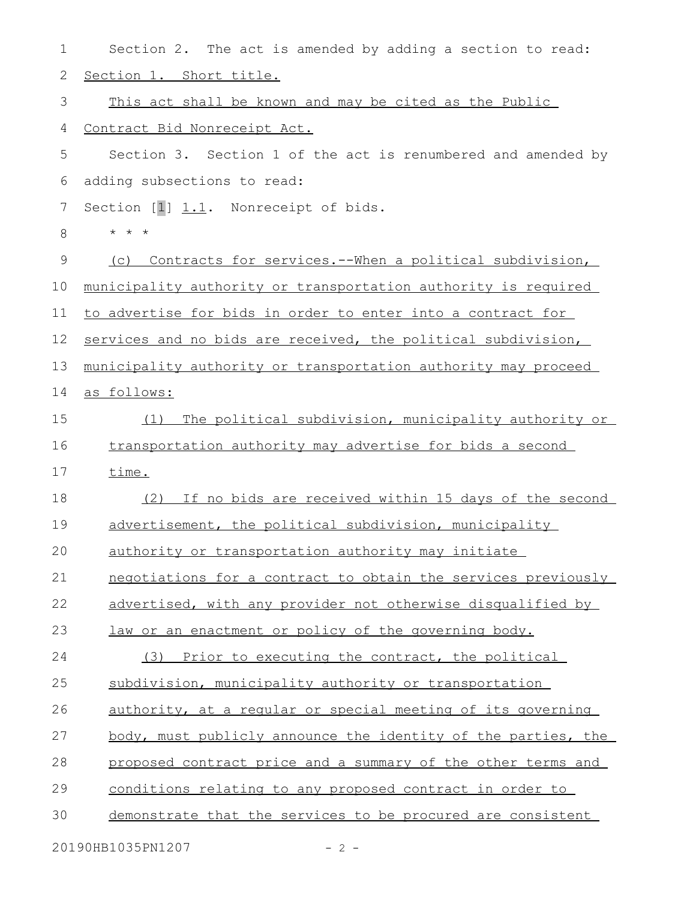| $\mathbf 1$    | Section 2. The act is amended by adding a section to read:         |
|----------------|--------------------------------------------------------------------|
| $\mathbf{2}$   | Section 1. Short title.                                            |
| 3              | This act shall be known and may be cited as the Public             |
| $\overline{4}$ | Contract Bid Nonreceipt Act.                                       |
| 5              | Section 3. Section 1 of the act is renumbered and amended by       |
| 6              | adding subsections to read:                                        |
| 7              | Section [1] 1.1. Nonreceipt of bids.                               |
| 8              | $\star$ $\star$ $\star$                                            |
| 9              | Contracts for services.--When a political subdivision,<br>(C)      |
| 10             | municipality authority or transportation authority is required     |
| 11             | <u>to advertise for bids in order to enter into a contract for</u> |
| 12             | services and no bids are received, the political subdivision,      |
| 13             | municipality authority or transportation authority may proceed     |
| 14             | as follows:                                                        |
| 15             | The political subdivision, municipality authority or<br>(1)        |
| 16             | transportation authority may advertise for bids a second           |
| 17             | time.                                                              |
| 18             | (2) If no bids are received within 15 days of the second           |
| 19             | advertisement, the political subdivision, municipality             |
| 20             | authority or transportation authority may initiate                 |
| 21             | negotiations for a contract to obtain the services previously      |
| 22             | advertised, with any provider not otherwise disqualified by        |
| 23             | law or an enactment or policy of the governing body.               |
| 24             | (3) Prior to executing the contract, the political                 |
| 25             | subdivision, municipality authority or transportation              |
| 26             | authority, at a regular or special meeting of its governing        |
| 27             | body, must publicly announce the identity of the parties, the      |
| 28             | proposed contract price and a summary of the other terms and       |
| 29             | <u>conditions relating to any proposed contract in order to</u>    |
| 30             | demonstrate that the services to be procured are consistent        |
|                | 20190HB1035PN1207<br>$-2 -$                                        |